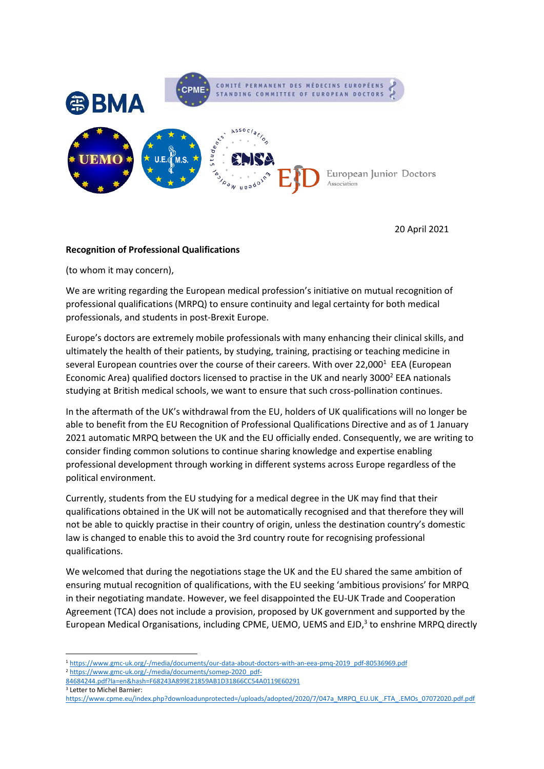

20 April 2021

## **Recognition of Professional Qualifications**

(to whom it may concern),

We are writing regarding the European medical profession's initiative on mutual recognition of professional qualifications (MRPQ) to ensure continuity and legal certainty for both medical professionals, and students in post-Brexit Europe.

Europe's doctors are extremely mobile professionals with many enhancing their clinical skills, and ultimately the health of their patients, by studying, training, practising or teaching medicine in several European countries over the course of their careers. With over 22,000<sup>1</sup> EEA (European Economic Area) qualified doctors licensed to practise in the UK and nearly 3000<sup>2</sup> EEA nationals studying at British medical schools, we want to ensure that such cross-pollination continues.

In the aftermath of the UK's withdrawal from the EU, holders of UK qualifications will no longer be able to benefit from the EU Recognition of Professional Qualifications Directive and as of 1 January 2021 automatic MRPQ between the UK and the EU officially ended. Consequently, we are writing to consider finding common solutions to continue sharing knowledge and expertise enabling professional development through working in different systems across Europe regardless of the political environment.

Currently, students from the EU studying for a medical degree in the UK may find that their qualifications obtained in the UK will not be automatically recognised and that therefore they will not be able to quickly practise in their country of origin, unless the destination country's domestic law is changed to enable this to avoid the 3rd country route for recognising professional qualifications.

We welcomed that during the negotiations stage the UK and the EU shared the same ambition of ensuring mutual recognition of qualifications, with the EU seeking 'ambitious provisions' for MRPQ in their negotiating mandate. However, we feel disappointed the EU-UK Trade and Cooperation Agreement (TCA) does not include a provision, proposed by UK government and supported by the European Medical Organisations, including CPME, UEMO, UEMS and EJD, 3 to enshrine MRPQ directly

<sup>1</sup> [https://www.gmc-uk.org/-/media/documents/our-data-about-doctors-with-an-eea-pmq-2019\\_pdf-80536969.pdf](https://www.gmc-uk.org/-/media/documents/our-data-about-doctors-with-an-eea-pmq-2019_pdf-80536969.pdf) <sup>2</sup> [https://www.gmc-uk.org/-/media/documents/somep-2020\\_pdf-](https://www.gmc-uk.org/-/media/documents/somep-2020_pdf-84684244.pdf?la=en&hash=F68243A899E21859AB1D31866CC54A0119E60291)

[<sup>84684244.</sup>pdf?la=en&hash=F68243A899E21859AB1D31866CC54A0119E60291](https://www.gmc-uk.org/-/media/documents/somep-2020_pdf-84684244.pdf?la=en&hash=F68243A899E21859AB1D31866CC54A0119E60291) <sup>3</sup> Letter to Michel Barnier:

[https://www.cpme.eu/index.php?downloadunprotected=/uploads/adopted/2020/7/047a\\_MRPQ\\_EU.UK\\_.FTA\\_.EMOs\\_07072020.pdf.pdf](https://www.cpme.eu/index.php?downloadunprotected=/uploads/adopted/2020/7/047a_MRPQ_EU.UK_.FTA_.EMOs_07072020.pdf.pdf)